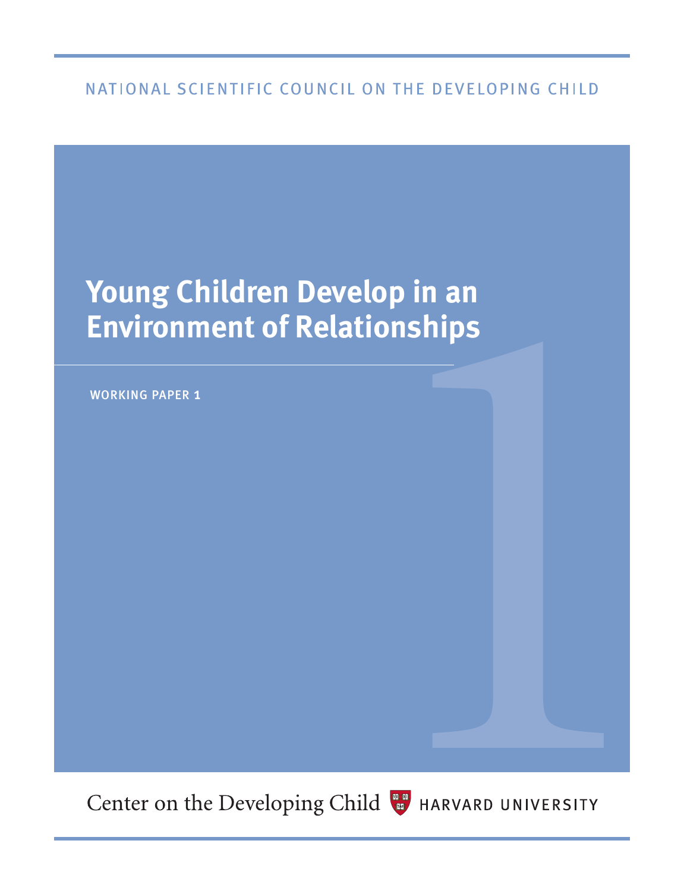NATIONAL SCIENTIFIC COUNCIL ON THE DEVELOPING CHILD

# **Young Children Develop in an Environment of Relationships** working paper 1 **Explores In an antionships**<br> **1988 - PERSONAL PROPERTY**<br>
PERSONAL PROPERTY<br>
PERSONAL PROPERTY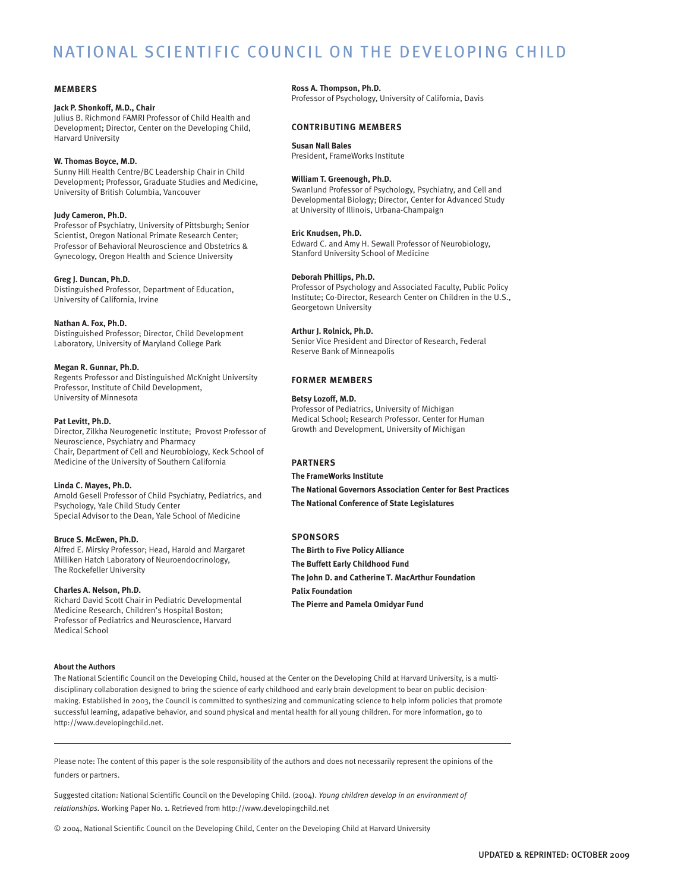# **members**

### **Jack P. Shonkoff, M.D., Chair**

Julius B. Richmond FAMRI Professor of Child Health and Development; Director, Center on the Developing Child, Harvard University

## **W. Thomas Boyce, M.D.**

Sunny Hill Health Centre/BC Leadership Chair in Child Development; Professor, Graduate Studies and Medicine, University of British Columbia, Vancouver

### **Judy Cameron, Ph.D.**

Professor of Psychiatry, University of Pittsburgh; Senior Scientist, Oregon National Primate Research Center; Professor of Behavioral Neuroscience and Obstetrics & Gynecology, Oregon Health and Science University

### **Greg J. Duncan, Ph.D.**

Distinguished Professor, Department of Education, University of California, Irvine

## **Nathan A. Fox, Ph.D.**

Distinguished Professor; Director, Child Development Laboratory, University of Maryland College Park

### **Megan R. Gunnar, Ph.D.**

Regents Professor and Distinguished McKnight University Professor, Institute of Child Development, University of Minnesota

**Pat Levitt, Ph.D.** Director, Zilkha Neurogenetic Institute; Provost Professor of Neuroscience, Psychiatry and Pharmacy Chair, Department of Cell and Neurobiology, Keck School of

Medicine of the University of Southern California

**Linda C. Mayes, Ph.D.** Arnold Gesell Professor of Child Psychiatry, Pediatrics, and Psychology, Yale Child Study Center Special Advisor to the Dean, Yale School of Medicine

**Bruce S. McEwen, Ph.D.** Alfred E. Mirsky Professor; Head, Harold and Margaret Milliken Hatch Laboratory of Neuroendocrinology, The Rockefeller University

## **Charles A. Nelson, Ph.D.**

Richard David Scott Chair in Pediatric Developmental Medicine Research, Children's Hospital Boston; Professor of Pediatrics and Neuroscience, Harvard Medical School

**ross a. thompson, ph.D.**

Professor of Psychology, University of California, Davis

# **contributing members**

# **Susan Nall Bales**

President, FrameWorks Institute

## **william t. greenough, ph.D.**

Swanlund Professor of Psychology, Psychiatry, and Cell and Developmental Biology; Director, Center for Advanced Study at University of Illinois, Urbana-Champaign

## **eric knudsen, ph.D.**

Edward C. and Amy H. Sewall Professor of Neurobiology, Stanford University School of Medicine

# **Deborah phillips, ph.D.**

Professor of Psychology and Associated Faculty, Public Policy Institute; Co-Director, Research Center on Children in the U.S., Georgetown University

## Arthur J. Rolnick, Ph.D.

Senior Vice President and Director of Research, Federal Reserve Bank of Minneapolis

# **former members**

# **betsy lozoff, m.D.**

Professor of Pediatrics, University of Michigan Medical School; Research Professor. Center for Human Growth and Development, University of Michigan

# **partners**

**the frameworks institute**

**the national governors association center for best practices the national conference of state legislatures**

# **sponsors**

**the birth to five policy alliance the buffett early childhood fund The John D. and Catherine T. MacArthur Foundation Palix foundation the pierre and pamela omidyar fund**

**About the Authors**

The National Scientific Council on the Developing Child, housed at the Center on the Developing Child at Harvard University, is a multidisciplinary collaboration designed to bring the science of early childhood and early brain development to bear on public decisionmaking. Established in 2003, the Council is committed to synthesizing and communicating science to help inform policies that promote successful learning, adapative behavior, and sound physical and mental health for all young children. For more information, go to http://www.developingchild.net.

Please note: The content of this paper is the sole responsibility of the authors and does not necessarily represent the opinions of the funders or partners.

Suggested citation: National Scientific Council on the Developing Child. (2004). *Young children develop in an environment of relationships.* Working Paper No. 1. Retrieved from http://www.developingchild.net

© 2004, National Scientific Council on the Developing Child, Center on the Developing Child at Harvard University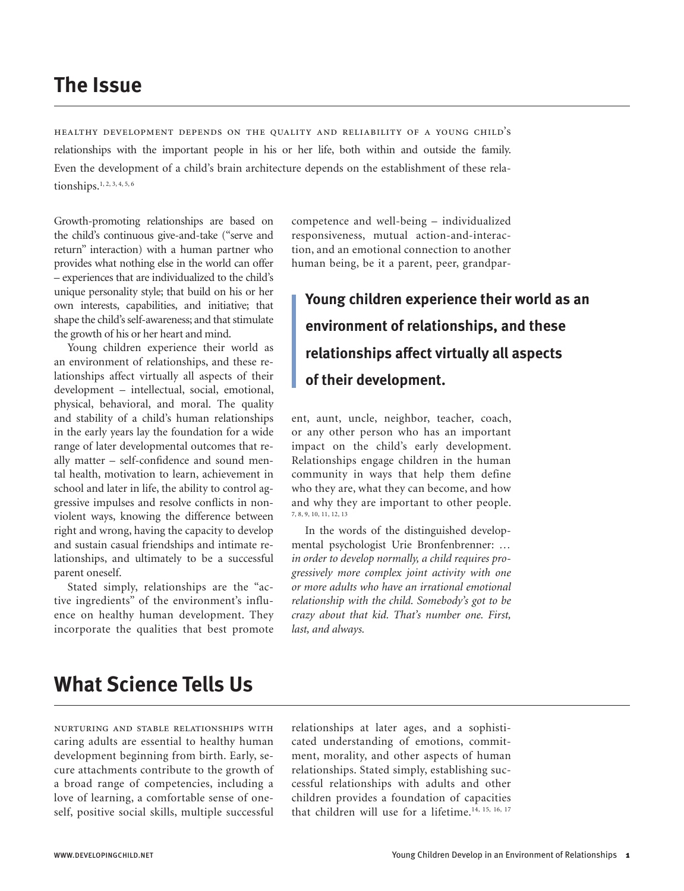# **The Issue**

healthy development depends on the quality and reliability of a young child's relationships with the important people in his or her life, both within and outside the family. Even the development of a child's brain architecture depends on the establishment of these relationships.1, 2, 3, 4, 5, 6

Growth-promoting relationships are based on the child's continuous give-and-take ("serve and return" interaction) with a human partner who provides what nothing else in the world can offer – experiences that are individualized to the child's unique personality style; that build on his or her own interests, capabilities, and initiative; that shape the child's self-awareness; and that stimulate the growth of his or her heart and mind.

Young children experience their world as an environment of relationships, and these relationships affect virtually all aspects of their development – intellectual, social, emotional, physical, behavioral, and moral. The quality and stability of a child's human relationships in the early years lay the foundation for a wide range of later developmental outcomes that really matter – self-confidence and sound mental health, motivation to learn, achievement in school and later in life, the ability to control aggressive impulses and resolve conflicts in nonviolent ways, knowing the difference between right and wrong, having the capacity to develop and sustain casual friendships and intimate relationships, and ultimately to be a successful parent oneself.

Stated simply, relationships are the "active ingredients" of the environment's influence on healthy human development. They incorporate the qualities that best promote competence and well-being – individualized responsiveness, mutual action-and-interaction, and an emotional connection to another human being, be it a parent, peer, grandpar-

# **Young children experience their world as an environment of relationships, and these relationships affect virtually all aspects of their development.**

ent, aunt, uncle, neighbor, teacher, coach, or any other person who has an important impact on the child's early development. Relationships engage children in the human community in ways that help them define who they are, what they can become, and how and why they are important to other people. 7, 8, 9, 10, 11, 12, 13

In the words of the distinguished developmental psychologist Urie Bronfenbrenner: *… in order to develop normally, a child requires progressively more complex joint activity with one or more adults who have an irrational emotional relationship with the child. Somebody's got to be crazy about that kid. That's number one. First, last, and always.*

# **What Science Tells Us**

nurturing and stable relationships with caring adults are essential to healthy human development beginning from birth. Early, secure attachments contribute to the growth of a broad range of competencies, including a love of learning, a comfortable sense of oneself, positive social skills, multiple successful

relationships at later ages, and a sophisticated understanding of emotions, commitment, morality, and other aspects of human relationships. Stated simply, establishing successful relationships with adults and other children provides a foundation of capacities that children will use for a lifetime.<sup>14, 15, 16, 17</sup>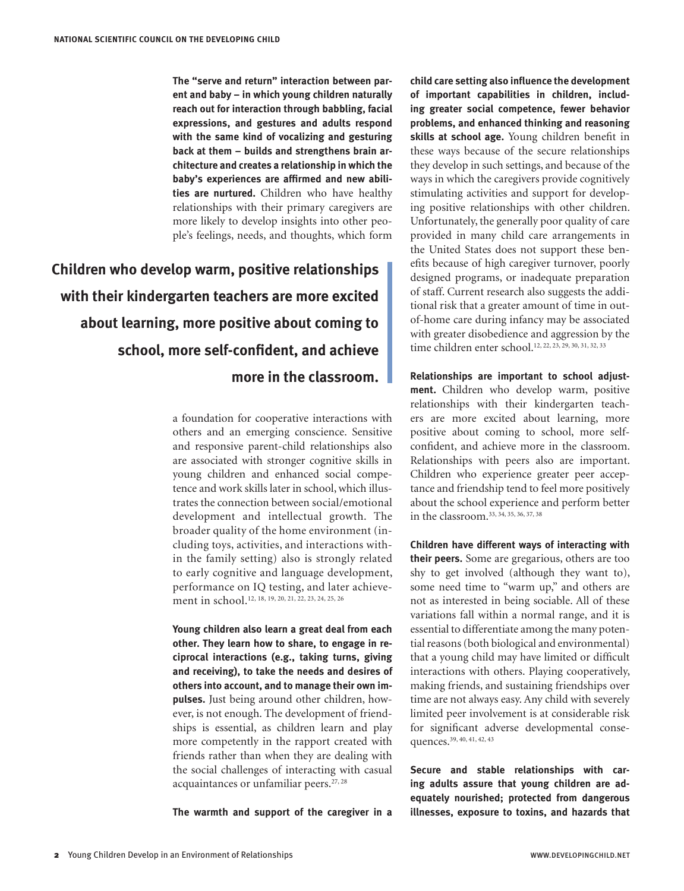**The "serve and return" interaction between parent and baby – in which young children naturally reach out for interaction through babbling, facial expressions, and gestures and adults respond with the same kind of vocalizing and gesturing back at them – builds and strengthens brain architecture and creates a relationship in which the baby's experiences are affirmed and new abilities are nurtured.** Children who have healthy relationships with their primary caregivers are more likely to develop insights into other people's feelings, needs, and thoughts, which form

**Children who develop warm, positive relationships with their kindergarten teachers are more excited about learning, more positive about coming to school, more self-confident, and achieve more in the classroom.**

> a foundation for cooperative interactions with others and an emerging conscience. Sensitive and responsive parent-child relationships also are associated with stronger cognitive skills in young children and enhanced social competence and work skills later in school, which illustrates the connection between social/emotional development and intellectual growth. The broader quality of the home environment (including toys, activities, and interactions within the family setting) also is strongly related to early cognitive and language development, performance on IQ testing, and later achievement in school.12, 18, 19, 20, 21, 22, 23, 24, 25, 26

> **Young children also learn a great deal from each other. They learn how to share, to engage in reciprocal interactions (e.g., taking turns, giving and receiving), to take the needs and desires of others into account, and to manage their own impulses.** Just being around other children, however, is not enough. The development of friendships is essential, as children learn and play more competently in the rapport created with friends rather than when they are dealing with the social challenges of interacting with casual acquaintances or unfamiliar peers.<sup>27, 28</sup>

**The warmth and support of the caregiver in a** 

**child care setting also influence the development of important capabilities in children, including greater social competence, fewer behavior problems, and enhanced thinking and reasoning skills at school age.** Young children benefit in these ways because of the secure relationships they develop in such settings, and because of the ways in which the caregivers provide cognitively stimulating activities and support for developing positive relationships with other children. Unfortunately, the generally poor quality of care provided in many child care arrangements in the United States does not support these benefits because of high caregiver turnover, poorly designed programs, or inadequate preparation of staff. Current research also suggests the additional risk that a greater amount of time in outof-home care during infancy may be associated with greater disobedience and aggression by the time children enter school.<sup>12, 22, 23, 29, 30, 31, 32, 33</sup>

**Relationships are important to school adjustment.** Children who develop warm, positive relationships with their kindergarten teachers are more excited about learning, more positive about coming to school, more selfconfident, and achieve more in the classroom. Relationships with peers also are important. Children who experience greater peer acceptance and friendship tend to feel more positively about the school experience and perform better in the classroom.33, 34, 35, 36, 37, 38

**Children have different ways of interacting with their peers.** Some are gregarious, others are too shy to get involved (although they want to), some need time to "warm up," and others are not as interested in being sociable. All of these variations fall within a normal range, and it is essential to differentiate among the many potential reasons (both biological and environmental) that a young child may have limited or difficult interactions with others. Playing cooperatively, making friends, and sustaining friendships over time are not always easy. Any child with severely limited peer involvement is at considerable risk for significant adverse developmental consequences.39, 40, 41, 42, 43

**Secure and stable relationships with caring adults assure that young children are adequately nourished; protected from dangerous illnesses, exposure to toxins, and hazards that**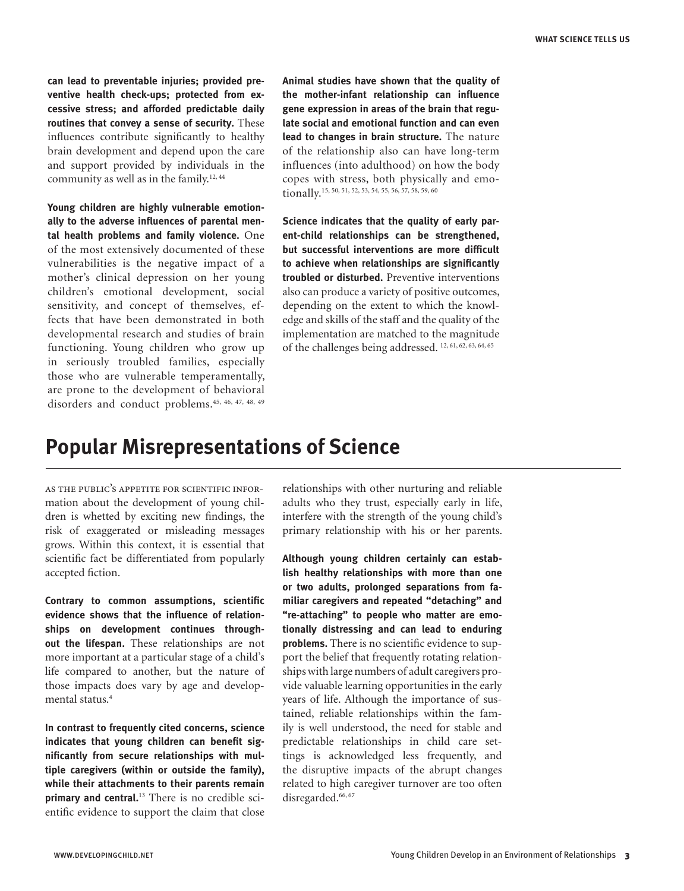**can lead to preventable injuries; provided preventive health check-ups; protected from excessive stress; and afforded predictable daily routines that convey a sense of security.** These influences contribute significantly to healthy brain development and depend upon the care and support provided by individuals in the community as well as in the family.<sup>12, 44</sup>

**Young children are highly vulnerable emotionally to the adverse influences of parental mental health problems and family violence.** One of the most extensively documented of these vulnerabilities is the negative impact of a mother's clinical depression on her young children's emotional development, social sensitivity, and concept of themselves, effects that have been demonstrated in both developmental research and studies of brain functioning. Young children who grow up in seriously troubled families, especially those who are vulnerable temperamentally, are prone to the development of behavioral disorders and conduct problems.45, 46, 47, 48, 49

**Animal studies have shown that the quality of the mother-infant relationship can influence gene expression in areas of the brain that regulate social and emotional function and can even lead to changes in brain structure.** The nature of the relationship also can have long-term influences (into adulthood) on how the body copes with stress, both physically and emotionally.<sup>15, 50, 51, 52, 53, 54, 55, 56, 57, 58, 59, 60</sup>

**Science indicates that the quality of early parent-child relationships can be strengthened, but successful interventions are more difficult to achieve when relationships are significantly troubled or disturbed.** Preventive interventions also can produce a variety of positive outcomes, depending on the extent to which the knowledge and skills of the staff and the quality of the implementation are matched to the magnitude of the challenges being addressed. 12, 61, 62, 63, 64, 65

# **Popular Misrepresentations of Science**

as the public's appetite for scientific information about the development of young children is whetted by exciting new findings, the risk of exaggerated or misleading messages grows. Within this context, it is essential that scientific fact be differentiated from popularly accepted fiction.

**Contrary to common assumptions, scientific evidence shows that the influence of relationships on development continues throughout the lifespan.** These relationships are not more important at a particular stage of a child's life compared to another, but the nature of those impacts does vary by age and developmental status.<sup>4</sup>

**In contrast to frequently cited concerns, science indicates that young children can benefit significantly from secure relationships with multiple caregivers (within or outside the family), while their attachments to their parents remain primary and central.**<sup>13</sup> There is no credible scientific evidence to support the claim that close relationships with other nurturing and reliable adults who they trust, especially early in life, interfere with the strength of the young child's primary relationship with his or her parents.

**Although young children certainly can establish healthy relationships with more than one or two adults, prolonged separations from familiar caregivers and repeated "detaching" and "re-attaching" to people who matter are emotionally distressing and can lead to enduring problems.** There is no scientific evidence to support the belief that frequently rotating relationships with large numbers of adult caregivers provide valuable learning opportunities in the early years of life. Although the importance of sustained, reliable relationships within the family is well understood, the need for stable and predictable relationships in child care settings is acknowledged less frequently, and the disruptive impacts of the abrupt changes related to high caregiver turnover are too often disregarded.<sup>66, 67</sup>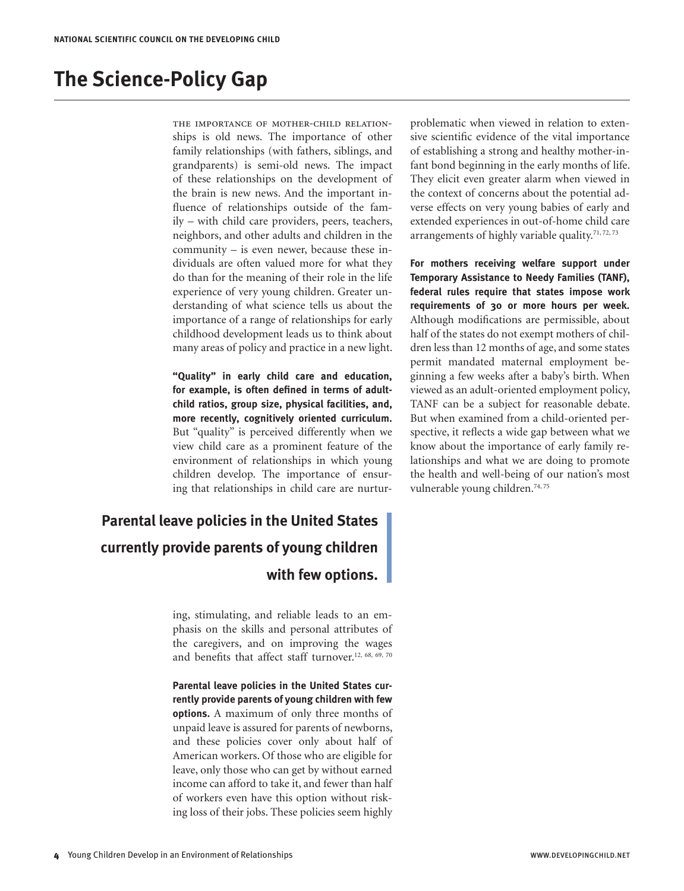# **The Science-Policy Gap**

the importance of mother-child relationships is old news. The importance of other family relationships (with fathers, siblings, and grandparents) is semi-old news. The impact of these relationships on the development of the brain is new news. And the important influence of relationships outside of the family – with child care providers, peers, teachers, neighbors, and other adults and children in the community – is even newer, because these individuals are often valued more for what they do than for the meaning of their role in the life experience of very young children. Greater understanding of what science tells us about the importance of a range of relationships for early childhood development leads us to think about many areas of policy and practice in a new light.

**"Quality" in early child care and education, for example, is often defined in terms of adultchild ratios, group size, physical facilities, and, more recently, cognitively oriented curriculum.**  But "quality" is perceived differently when we view child care as a prominent feature of the environment of relationships in which young children develop. The importance of ensuring that relationships in child care are nurtur-

# **Parental leave policies in the United States currently provide parents of young children with few options.**

ing, stimulating, and reliable leads to an emphasis on the skills and personal attributes of the caregivers, and on improving the wages and benefits that affect staff turnover.<sup>12, 68, 69, 70</sup>

**Parental leave policies in the United States currently provide parents of young children with few options.** A maximum of only three months of unpaid leave is assured for parents of newborns, and these policies cover only about half of American workers. Of those who are eligible for leave, only those who can get by without earned income can afford to take it, and fewer than half of workers even have this option without risking loss of their jobs. These policies seem highly

problematic when viewed in relation to extensive scientific evidence of the vital importance of establishing a strong and healthy mother-infant bond beginning in the early months of life. They elicit even greater alarm when viewed in the context of concerns about the potential adverse effects on very young babies of early and extended experiences in out-of-home child care arrangements of highly variable quality.<sup>71, 72, 73</sup>

**For mothers receiving welfare support under Temporary Assistance to Needy Families (TANF), federal rules require that states impose work requirements of 30 or more hours per week.** Although modifications are permissible, about half of the states do not exempt mothers of children less than 12 months of age, and some states permit mandated maternal employment beginning a few weeks after a baby's birth. When viewed as an adult-oriented employment policy, TANF can be a subject for reasonable debate. But when examined from a child-oriented perspective, it reflects a wide gap between what we know about the importance of early family relationships and what we are doing to promote the health and well-being of our nation's most vulnerable young children.<sup>74,75</sup>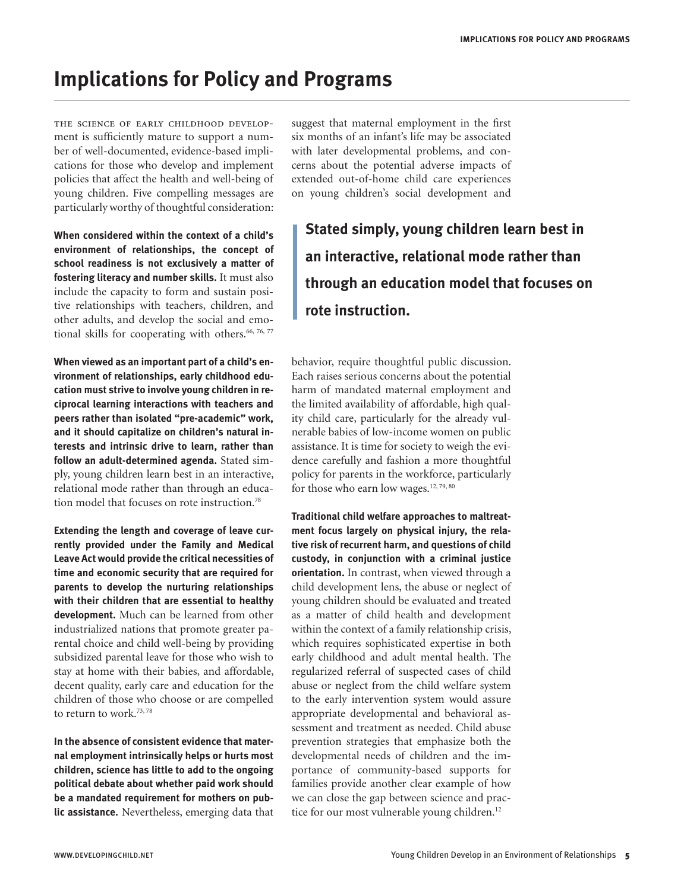# **Implications for Policy and Programs**

THE SCIENCE OF EARLY CHILDHOOD DEVELOPment is sufficiently mature to support a number of well-documented, evidence-based implications for those who develop and implement policies that affect the health and well-being of young children. Five compelling messages are particularly worthy of thoughtful consideration:

**When considered within the context of a child's environment of relationships, the concept of school readiness is not exclusively a matter of fostering literacy and number skills.** It must also include the capacity to form and sustain positive relationships with teachers, children, and other adults, and develop the social and emotional skills for cooperating with others.<sup>66, 76, 77</sup>

**When viewed as an important part of a child's environment of relationships, early childhood education must strive to involve young children in reciprocal learning interactions with teachers and peers rather than isolated "pre-academic" work, and it should capitalize on children's natural interests and intrinsic drive to learn, rather than follow an adult-determined agenda.** Stated simply, young children learn best in an interactive, relational mode rather than through an education model that focuses on rote instruction.<sup>78</sup>

**Extending the length and coverage of leave currently provided under the Family and Medical Leave Act would provide the critical necessities of time and economic security that are required for parents to develop the nurturing relationships with their children that are essential to healthy development.** Much can be learned from other industrialized nations that promote greater parental choice and child well-being by providing subsidized parental leave for those who wish to stay at home with their babies, and affordable, decent quality, early care and education for the children of those who choose or are compelled to return to work.<sup>73,78</sup>

**In the absence of consistent evidence that maternal employment intrinsically helps or hurts most children, science has little to add to the ongoing political debate about whether paid work should be a mandated requirement for mothers on public assistance.** Nevertheless, emerging data that

suggest that maternal employment in the first six months of an infant's life may be associated with later developmental problems, and concerns about the potential adverse impacts of extended out-of-home child care experiences on young children's social development and

**Stated simply, young children learn best in an interactive, relational mode rather than through an education model that focuses on rote instruction.**

behavior, require thoughtful public discussion. Each raises serious concerns about the potential harm of mandated maternal employment and the limited availability of affordable, high quality child care, particularly for the already vulnerable babies of low-income women on public assistance. It is time for society to weigh the evidence carefully and fashion a more thoughtful policy for parents in the workforce, particularly for those who earn low wages.<sup>12, 79, 80</sup>

**Traditional child welfare approaches to maltreatment focus largely on physical injury, the relative risk of recurrent harm, and questions of child custody, in conjunction with a criminal justice orientation.** In contrast, when viewed through a child development lens, the abuse or neglect of young children should be evaluated and treated as a matter of child health and development within the context of a family relationship crisis, which requires sophisticated expertise in both early childhood and adult mental health. The regularized referral of suspected cases of child abuse or neglect from the child welfare system to the early intervention system would assure appropriate developmental and behavioral assessment and treatment as needed. Child abuse prevention strategies that emphasize both the developmental needs of children and the importance of community-based supports for families provide another clear example of how we can close the gap between science and practice for our most vulnerable young children.<sup>12</sup>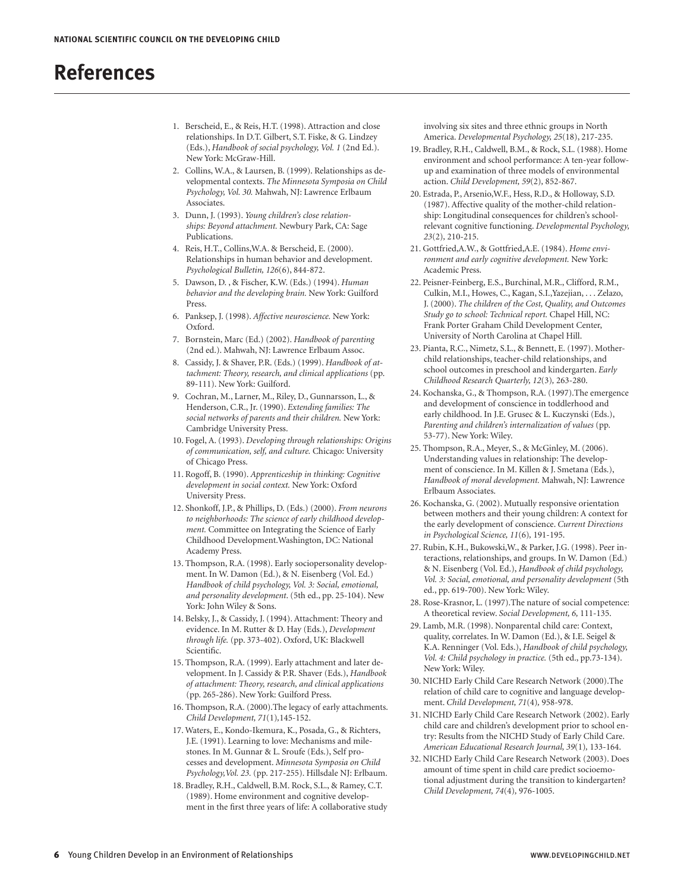# **References**

- 1. Berscheid, E., & Reis, H.T. (1998). Attraction and close relationships. In D.T. Gilbert, S.T. Fiske, & G. Lindzey (Eds.), *Handbook of social psychology, Vol. 1* (2nd Ed.). New York: McGraw-Hill.
- 2. Collins, W.A., & Laursen, B. (1999). Relationships as developmental contexts. *The Minnesota Symposia on Child Psychology, Vol. 30.* Mahwah, NJ: Lawrence Erlbaum Associates.
- 3. Dunn, J. (1993). *Young children's close relationships: Beyond attachment.* Newbury Park, CA: Sage Publications.
- 4. Reis, H.T., Collins,W.A. & Berscheid, E. (2000). Relationships in human behavior and development. *Psychological Bulletin, 126*(6), 844-872.
- 5. Dawson, D. , & Fischer, K.W. (Eds.) (1994). *Human behavior and the developing brain.* New York: Guilford Press.
- 6. Panksep, J. (1998). *Affective neuroscience.* New York: Oxford.
- 7. Bornstein, Marc (Ed.) (2002). *Handbook of parenting*  (2nd ed.). Mahwah, NJ: Lawrence Erlbaum Assoc.
- 8. Cassidy, J. & Shaver, P.R. (Eds.) (1999). *Handbook of attachment: Theory, research, and clinical applications* (pp. 89-111). New York: Guilford.
- 9. Cochran, M., Larner, M., Riley, D., Gunnarsson, L., & Henderson, C.R., Jr. (1990). *Extending families: The social networks of parents and their children.* New York: Cambridge University Press.
- 10. Fogel, A. (1993). *Developing through relationships: Origins of communication, self, and culture.* Chicago: University of Chicago Press.
- 11. Rogoff, B. (1990). *Apprenticeship in thinking: Cognitive development in social context.* New York: Oxford University Press.
- 12. Shonkoff, J.P., & Phillips, D. (Eds.) (2000). *From neurons to neighborhoods: The science of early childhood development.* Committee on Integrating the Science of Early Childhood Development.Washington, DC: National Academy Press.
- 13. Thompson, R.A. (1998). Early sociopersonality development. In W. Damon (Ed.), & N. Eisenberg (Vol. Ed.) *Handbook of child psychology, Vol. 3: Social, emotional, and personality development*. (5th ed., pp. 25-104). New York: John Wiley & Sons.
- 14. Belsky, J., & Cassidy, J. (1994). Attachment: Theory and evidence. In M. Rutter & D. Hay (Eds.), *Development through life.* (pp. 373-402). Oxford, UK: Blackwell Scientific.
- 15. Thompson, R.A. (1999). Early attachment and later development. In J. Cassidy & P.R. Shaver (Eds.), *Handbook of attachment: Theory, research, and clinical applications*  (pp. 265-286). New York: Guilford Press.
- 16. Thompson, R.A. (2000).The legacy of early attachments. *Child Development, 71*(1)*,*145-152.
- 17. Waters, E., Kondo-Ikemura, K., Posada, G., & Richters, J.E. (1991). Learning to love: Mechanisms and milestones. In M. Gunnar & L. Sroufe (Eds.), Self processes and development. *Minnesota Symposia on Child Psychology,Vol. 23.* (pp. 217-255). Hillsdale NJ: Erlbaum.
- 18. Bradley, R.H., Caldwell, B.M. Rock, S.L., & Ramey, C.T. (1989). Home environment and cognitive development in the first three years of life: A collaborative study

involving six sites and three ethnic groups in North America. *Developmental Psychology, 25*(18), 217-235.

- 19. Bradley, R.H., Caldwell, B.M., & Rock, S.L. (1988). Home environment and school performance: A ten-year followup and examination of three models of environmental action. *Child Development, 59*(2)*,* 852-867.
- 20. Estrada, P., Arsenio,W.F., Hess, R.D., & Holloway, S.D. (1987). Affective quality of the mother-child relationship: Longitudinal consequences for children's schoolrelevant cognitive functioning. *Developmental Psychology, 23*(2)*,* 210-215.
- 21. Gottfried,A.W., & Gottfried,A.E. (1984). *Home environment and early cognitive development.* New York: Academic Press.
- 22. Peisner-Feinberg, E.S., Burchinal, M.R., Clifford, R.M., Culkin, M.I., Howes, C., Kagan, S.I.,Yazejian, . . . Zelazo, J. (2000). *The children of the Cost, Quality, and Outcomes Study go to school: Technical report.* Chapel Hill, NC: Frank Porter Graham Child Development Center, University of North Carolina at Chapel Hill.
- 23. Pianta, R.C., Nimetz, S.L., & Bennett, E. (1997). Motherchild relationships, teacher-child relationships, and school outcomes in preschool and kindergarten. *Early Childhood Research Quarterly, 12*(3)*,* 263-280.
- 24. Kochanska, G., & Thompson, R.A. (1997).The emergence and development of conscience in toddlerhood and early childhood. In J.E. Grusec & L. Kuczynski (Eds.), *Parenting and children's internalization of values* (pp. 53-77). New York: Wiley.
- 25. Thompson, R.A., Meyer, S., & McGinley, M. (2006). Understanding values in relationship: The development of conscience. In M. Killen & J. Smetana (Eds.), *Handbook of moral development.* Mahwah, NJ: Lawrence Erlbaum Associates.
- 26. Kochanska, G. (2002). Mutually responsive orientation between mothers and their young children: A context for the early development of conscience. *Current Directions in Psychological Science, 11*(6)*,* 191-195.
- 27. Rubin, K.H., Bukowski,W., & Parker, J.G. (1998). Peer interactions, relationships, and groups. In W. Damon (Ed.) & N. Eisenberg (Vol. Ed.), *Handbook of child psychology, Vol. 3: Social, emotional, and personality development* (5th ed., pp. 619-700). New York: Wiley.
- 28. Rose-Krasnor, L. (1997).The nature of social competence: A theoretical review. *Social Development, 6,* 111-135.
- 29. Lamb, M.R. (1998). Nonparental child care: Context, quality, correlates. In W. Damon (Ed.), & I.E. Seigel & K.A. Renninger (Vol. Eds.), *Handbook of child psychology, Vol. 4: Child psychology in practice.* (5th ed., pp.73-134). New York: Wiley.
- 30. NICHD Early Child Care Research Network (2000).The relation of child care to cognitive and language development. *Child Development, 71*(4)*,* 958-978.
- 31. NICHD Early Child Care Research Network (2002). Early child care and children's development prior to school entry: Results from the NICHD Study of Early Child Care. *American Educational Research Journal, 39*(1)*,* 133-164.
- 32. NICHD Early Child Care Research Network (2003). Does amount of time spent in child care predict socioemotional adjustment during the transition to kindergarten? *Child Development, 74*(4)*,* 976-1005.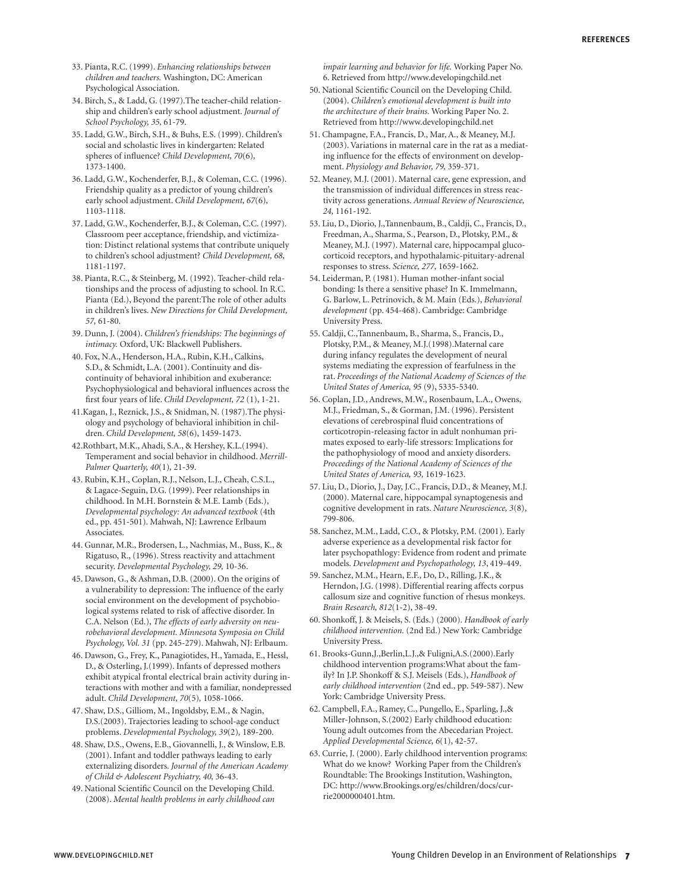- 33. Pianta, R.C. (1999). *Enhancing relationships between children and teachers.* Washington, DC: American Psychological Association.
- 34. Birch, S., & Ladd, G. (1997).The teacher-child relationship and children's early school adjustment. *Journal of School Psychology, 35,* 61-79.
- 35. Ladd, G.W., Birch, S.H., & Buhs, E.S. (1999). Children's social and scholastic lives in kindergarten: Related spheres of influence? *Child Development, 70*(6)*,*  1373-1400.
- 36. Ladd, G.W., Kochenderfer, B.J., & Coleman, C.C. (1996). Friendship quality as a predictor of young children's early school adjustment. *Child Development, 67*(6)*,*  1103-1118.
- 37. Ladd, G.W., Kochenderfer, B.J., & Coleman, C.C. (1997). Classroom peer acceptance, friendship, and victimization: Distinct relational systems that contribute uniquely to children's school adjustment? *Child Development, 68,*  1181-1197.
- 38. Pianta, R.C., & Steinberg, M. (1992). Teacher-child relationships and the process of adjusting to school. In R.C. Pianta (Ed.), Beyond the parent:The role of other adults in children's lives. *New Directions for Child Development, 57,* 61-80.
- 39. Dunn, J. (2004). *Children's friendships: The beginnings of intimacy.* Oxford, UK: Blackwell Publishers.
- 40. Fox, N.A., Henderson, H.A., Rubin, K.H., Calkins, S.D., & Schmidt, L.A. (2001). Continuity and discontinuity of behavioral inhibition and exuberance: Psychophysiological and behavioral influences across the first four years of life. *Child Development, 72* (1), 1-21.
- 41.Kagan, J., Reznick, J.S., & Snidman, N. (1987).The physiology and psychology of behavioral inhibition in children. *Child Development, 58*(6)*,* 1459-1473.
- 42.Rothbart, M.K., Ahadi, S.A., & Hershey, K.L.(1994). Temperament and social behavior in childhood. *Merrill-Palmer Quarterly, 40*(1)*,* 21-39.
- 43. Rubin, K.H., Coplan, R.J., Nelson, L.J., Cheah, C.S.L., & Lagace-Seguin, D.G. (1999). Peer relationships in childhood. In M.H. Bornstein & M.E. Lamb (Eds.), *Developmental psychology: An advanced textbook* (4th ed., pp. 451-501). Mahwah, NJ: Lawrence Erlbaum Associates.
- 44. Gunnar, M.R., Brodersen, L., Nachmias, M., Buss, K., & Rigatuso, R., (1996). Stress reactivity and attachment security. *Developmental Psychology, 29,* 10-36.
- 45. Dawson, G., & Ashman, D.B. (2000). On the origins of a vulnerability to depression: The influence of the early social environment on the development of psychobiological systems related to risk of affective disorder. In C.A. Nelson (Ed.), *The effects of early adversity on neurobehavioral development. Minnesota Symposia on Child Psychology, Vol. 31* (pp. 245-279). Mahwah, NJ: Erlbaum.
- 46. Dawson, G., Frey, K., Panagiotides, H., Yamada, E., Hessl, D., & Osterling, J.(1999). Infants of depressed mothers exhibit atypical frontal electrical brain activity during interactions with mother and with a familiar, nondepressed adult. *Child Development, 70*(5)*,* 1058-1066.
- 47. Shaw, D.S., Gilliom, M., Ingoldsby, E.M., & Nagin, D.S.(2003). Trajectories leading to school-age conduct problems. *Developmental Psychology, 39*(2)*,* 189-200.
- 48. Shaw, D.S., Owens, E.B., Giovannelli, J., & Winslow, E.B. (2001). Infant and toddler pathways leading to early externalizing disorders. *Journal of the American Academy of Child & Adolescent Psychiatry, 40,* 36-43.
- 49. National Scientific Council on the Developing Child. (2008). *Mental health problems in early childhood can*

*impair learning and behavior for life.* Working Paper No. 6. Retrieved from http://www.developingchild.net

- 50. National Scientific Council on the Developing Child. (2004). *Children's emotional development is built into the architecture of their brains.* Working Paper No. 2. Retrieved from http://www.developingchild.net
- 51. Champagne, F.A., Francis, D., Mar, A., & Meaney, M.J. (2003). Variations in maternal care in the rat as a mediating influence for the effects of environment on development. *Physiology and Behavior, 79,* 359-371.
- 52. Meaney, M.J. (2001). Maternal care, gene expression, and the transmission of individual differences in stress reactivity across generations. *Annual Review of Neuroscience, 24,* 1161-192.
- 53. Liu, D., Diorio, J.,Tannenbaum, B., Caldji, C., Francis, D., Freedman, A., Sharma, S., Pearson, D., Plotsky, P.M., & Meaney, M.J. (1997). Maternal care, hippocampal glucocorticoid receptors, and hypothalamic-pituitary-adrenal responses to stress. *Science, 277,* 1659-1662.
- 54. Leiderman, P. (1981). Human mother-infant social bonding: Is there a sensitive phase? In K. Immelmann, G. Barlow, L. Petrinovich, & M. Main (Eds.), *Behavioral development* (pp. 454-468). Cambridge: Cambridge University Press.
- 55. Caldji, C.,Tannenbaum, B., Sharma, S., Francis, D., Plotsky, P.M., & Meaney, M.J.(1998).Maternal care during infancy regulates the development of neural systems mediating the expression of fearfulness in the rat. *Proceedings of the National Academy of Sciences of the United States of America, 95* (9), 5335-5340.
- 56. Coplan, J.D., Andrews, M.W., Rosenbaum, L.A., Owens, M.J., Friedman, S., & Gorman, J.M. (1996). Persistent elevations of cerebrospinal fluid concentrations of corticotropin-releasing factor in adult nonhuman primates exposed to early-life stressors: Implications for the pathophysiology of mood and anxiety disorders. *Proceedings of the National Academy of Sciences of the United States of America, 93,* 1619-1623.
- 57. Liu, D., Diorio, J., Day, J.C., Francis, D.D., & Meaney, M.J. (2000). Maternal care, hippocampal synaptogenesis and cognitive development in rats. *Nature Neuroscience, 3*(8), 799-806.
- 58. Sanchez, M.M., Ladd, C.O., & Plotsky, P.M. (2001). Early adverse experience as a developmental risk factor for later psychopathlogy: Evidence from rodent and primate models. *Development and Psychopathology, 13*, 419-449.
- 59. Sanchez, M.M., Hearn, E.F., Do, D., Rilling, J.K., & Herndon, J.G. (1998). Differential rearing affects corpus callosum size and cognitive function of rhesus monkeys. *Brain Research, 812*(1-2), 38-49.
- 60. Shonkoff, J. & Meisels, S. (Eds.) (2000). *Handbook of early childhood intervention.* (2nd Ed.) New York: Cambridge University Press.
- 61. Brooks-Gunn,J.,Berlin,L.J.,& Fuligni,A.S.(2000).Early childhood intervention programs:What about the family? In J.P. Shonkoff & S.J. Meisels (Eds.), *Handbook of early childhood intervention* (2nd ed., pp. 549-587). New York: Cambridge University Press.
- 62. Campbell, F.A., Ramey, C., Pungello, E., Sparling, J.,& Miller-Johnson, S.(2002) Early childhood education: Young adult outcomes from the Abecedarian Project. *Applied Developmental Science, 6*(1), 42-57.
- 63. Currie, J. (2000). Early childhood intervention programs: What do we know? Working Paper from the Children's Roundtable: The Brookings Institution, Washington, DC: http://www.Brookings.org/es/children/docs/currie2000000401.htm.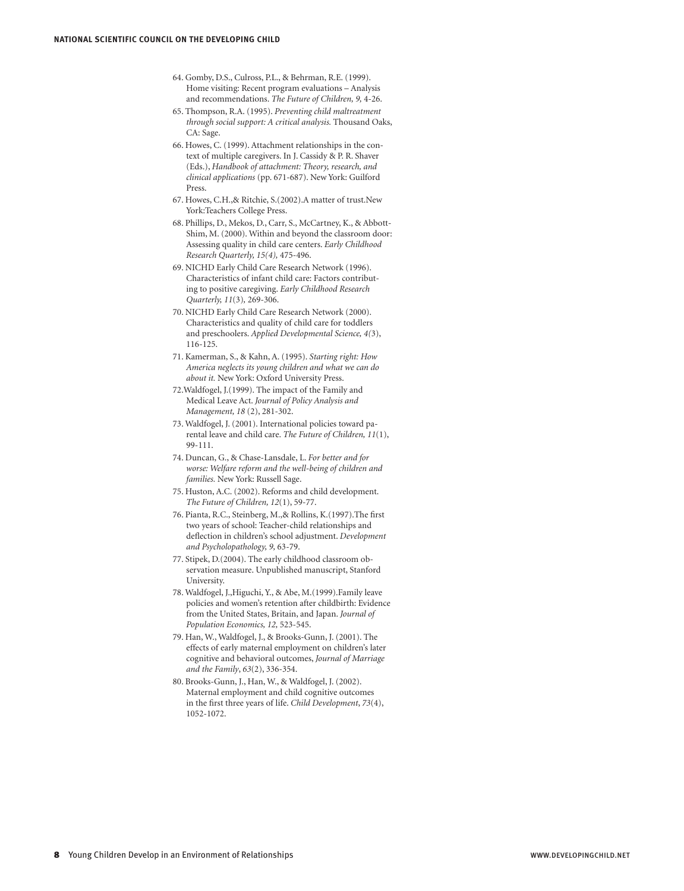- 64. Gomby, D.S., Culross, P.L., & Behrman, R.E. (1999). Home visiting: Recent program evaluations – Analysis and recommendations. *The Future of Children, 9,* 4-26.
- 65. Thompson, R.A. (1995). *Preventing child maltreatment through social support: A critical analysis.* Thousand Oaks, CA: Sage.
- 66. Howes, C. (1999). Attachment relationships in the context of multiple caregivers. In J. Cassidy & P. R. Shaver (Eds.), *Handbook of attachment: Theory, research, and clinical applications* (pp. 671-687). New York: Guilford Press.
- 67. Howes, C.H.,& Ritchie, S.(2002).A matter of trust.New York:Teachers College Press.
- 68. Phillips, D., Mekos, D., Carr, S., McCartney, K., & Abbott-Shim, M. (2000). Within and beyond the classroom door: Assessing quality in child care centers. *Early Childhood Research Quarterly, 15(4),* 475-496.
- 69. NICHD Early Child Care Research Network (1996). Characteristics of infant child care: Factors contributing to positive caregiving. *Early Childhood Research Quarterly, 11*(3)*,* 269-306.
- 70. NICHD Early Child Care Research Network (2000). Characteristics and quality of child care for toddlers and preschoolers. *Applied Developmental Science, 4(*3), 116-125.
- 71. Kamerman, S., & Kahn, A. (1995). *Starting right: How America neglects its young children and what we can do about it.* New York: Oxford University Press.
- 72.Waldfogel, J.(1999). The impact of the Family and Medical Leave Act. *Journal of Policy Analysis and Management, 18* (2), 281-302.
- 73. Waldfogel, J. (2001). International policies toward parental leave and child care. *The Future of Children, 11*(1), 99-111.
- 74. Duncan, G., & Chase-Lansdale, L. *For better and for worse: Welfare reform and the well-being of children and families.* New York: Russell Sage.
- 75. Huston, A.C. (2002). Reforms and child development. *The Future of Children, 12*(1), 59-77.
- 76. Pianta, R.C., Steinberg, M.,& Rollins, K.(1997).The first two years of school: Teacher-child relationships and deflection in children's school adjustment. *Development and Psycholopathology, 9,* 63-79.
- 77. Stipek, D.(2004). The early childhood classroom observation measure. Unpublished manuscript, Stanford University.
- 78. Waldfogel, J.,Higuchi, Y., & Abe, M.(1999).Family leave policies and women's retention after childbirth: Evidence from the United States, Britain, and Japan. *Journal of Population Economics, 12,* 523-545.
- 79. Han, W., Waldfogel, J., & Brooks-Gunn, J. (2001). The effects of early maternal employment on children's later cognitive and behavioral outcomes, *Journal of Marriage and the Family*, *63*(2), 336-354.
- 80. Brooks-Gunn, J., Han, W., & Waldfogel, J. (2002). Maternal employment and child cognitive outcomes in the first three years of life. *Child Development*, *73*(4), 1052-1072.